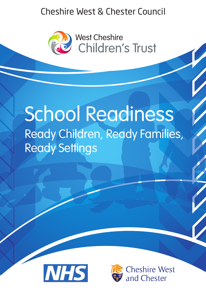# Cheshire West & Chester Council Cheshire West & Chester Council



# School Readiness Ready Children, Ready Families, Ready Settings



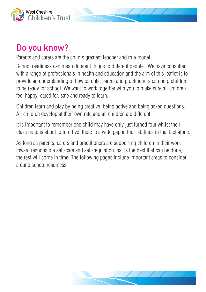

# Do you know?

Parents and carers are the child's greatest teacher and role model.

School readiness can mean different things to different people. We have consulted with a range of professionals in health and education and the aim of this leaflet is to provide an understanding of how parents, carers and practitioners can help children to be ready for school. We want to work together with you to make sure all children feel happy, cared for, safe and ready to learn.

Children learn and play by being creative, being active and being asked questions. All children develop at their own rate and all children are different.

It is important to remember one child may have only just turned four whilst their class mate is about to turn five, there is a wide gap in their abilities in that fact alone.

As long as parents, carers and practitioners are supporting children in their work toward responsible self-care and self-regulation that is the best that can be done, the rest will come in time. The following pages include important areas to consider around school readiness.

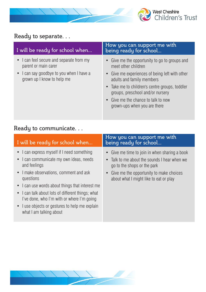

# Ready to separate. . .

| • I can feel secure and separate from my<br>parent or main carer<br>meet other children                                                                            | I will be ready for school when        | How you can support me with<br>being ready for school                                                                                             |
|--------------------------------------------------------------------------------------------------------------------------------------------------------------------|----------------------------------------|---------------------------------------------------------------------------------------------------------------------------------------------------|
| grown up I know to help me<br>adults and family members<br>groups, preschool and/or nursery<br>• Give me the chance to talk to new<br>grown-ups when you are there | I can say goodbye to you when I have a | • Give me the opportunity to go to groups and<br>• Give me experiences of being left with other<br>• Take me to children's centre groups, toddler |

### Ready to communicate. . .

| I will be ready for school when                                                                       | How you can support me with<br>being ready for school                                                                        |
|-------------------------------------------------------------------------------------------------------|------------------------------------------------------------------------------------------------------------------------------|
| • I can express myself if I need something<br>• I can communicate my own ideas, needs<br>and feelings | • Give me time to join in when sharing a book<br>• Talk to me about the sounds I hear when we<br>go to the shops or the park |
| • I make observations, comment and ask<br>questions                                                   | • Give me the opportunity to make choices<br>about what I might like to eat or play                                          |
| • I can use words about things that interest me                                                       |                                                                                                                              |
| • I can talk about lots of different things; what<br>I've done, who I'm with or where I'm going       |                                                                                                                              |
| • I use objects or gestures to help me explain<br>what I am talking about                             |                                                                                                                              |

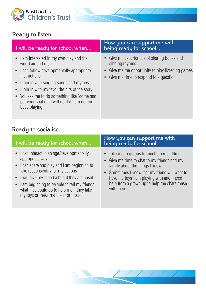

# Ready to listen. . .

| I will be ready for school when                                                                                                                                                                                                                                                                                                            | How you can support me with<br>being ready for school                                                                                                      |
|--------------------------------------------------------------------------------------------------------------------------------------------------------------------------------------------------------------------------------------------------------------------------------------------------------------------------------------------|------------------------------------------------------------------------------------------------------------------------------------------------------------|
| • I am interested in my own play and the<br>world around me<br>• I can follow developmentally appropriate<br>instructions<br>• I join in with singing songs and rhymes<br>• I join in with my favourite bits of the story<br>• You ask me to do something like 'come and<br>put your coat on' I will do it if I am not too<br>busy playing | • Give me experiences of sharing books and<br>singing rhymes<br>Give me the opportunity to play listening games<br>• Give me time to respond to a question |
|                                                                                                                                                                                                                                                                                                                                            |                                                                                                                                                            |

### Ready to socialise. . .

| I will be ready for school when                                                                                                                                                                                                                                                                                                             | How you can support me with<br>being ready for school                                                                                                                                                                                                                                   |
|---------------------------------------------------------------------------------------------------------------------------------------------------------------------------------------------------------------------------------------------------------------------------------------------------------------------------------------------|-----------------------------------------------------------------------------------------------------------------------------------------------------------------------------------------------------------------------------------------------------------------------------------------|
| • I can interact in an age/developmentally<br>appropriate way<br>• I can share and play and I am beginning to<br>take responsibility for my actions<br>• I will give my friend a hug if they are upset<br>• I am beginning to be able to tell my friends<br>what they could do to help me if they take<br>my toys or make me upset or cross | • Take me to groups to meet other children<br>• Give me time to chat to my friends and my<br>family about the things I know<br>• Sometimes I know that my friend will want to<br>have the toys I am playing with and I need<br>help from a grown up to help me share these<br>with them |

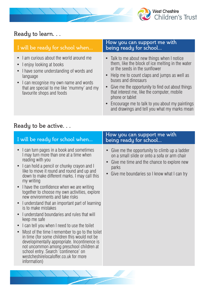

# Ready to learn. . .

| I will be ready for school when                                                                                                                                                                                                                     | How you can support me with<br>being ready for school                                                                                                                                                                                                                                                                                                                                                                                |
|-----------------------------------------------------------------------------------------------------------------------------------------------------------------------------------------------------------------------------------------------------|--------------------------------------------------------------------------------------------------------------------------------------------------------------------------------------------------------------------------------------------------------------------------------------------------------------------------------------------------------------------------------------------------------------------------------------|
| • I am curious about the world around me<br>• Lenjoy looking at books<br>• I have some understanding of words and<br>language<br>• I can recognise my own name and words<br>that are special to me like 'mummy' and my<br>favourite shops and foods | • Talk to me about new things when I notice<br>them, like the block of ice melting in the water<br>or the seeds in the sunflower<br>• Help me to count claps and jumps as well as<br>buses and dinosaurs<br>• Give me the opportunity to find out about things<br>that interest me, like the computer, mobile<br>phone or tablet<br>• Encourage me to talk to you about my paintings<br>and drawings and tell you what my marks mean |
| Readu to be active.                                                                                                                                                                                                                                 |                                                                                                                                                                                                                                                                                                                                                                                                                                      |

#### Ready to be active. . .

| I will be ready for school when                                                                                                                                                                                                                                                                                                                                                                                                                                                                                                                                                                                                                                                                                                                                                                                                                                                                                                                  | How you can support me with<br>being ready for school                                                                                                                                                           |
|--------------------------------------------------------------------------------------------------------------------------------------------------------------------------------------------------------------------------------------------------------------------------------------------------------------------------------------------------------------------------------------------------------------------------------------------------------------------------------------------------------------------------------------------------------------------------------------------------------------------------------------------------------------------------------------------------------------------------------------------------------------------------------------------------------------------------------------------------------------------------------------------------------------------------------------------------|-----------------------------------------------------------------------------------------------------------------------------------------------------------------------------------------------------------------|
| I can turn pages in a book and sometimes<br>I may turn more than one at a time when<br>reading with you<br>I can hold a pencil or chunky crayon and I<br>$\bullet$<br>like to move it round and round and up and<br>down to make different marks. I may call this<br>my writing<br>I have the confidence when we are writing<br>$\bullet$<br>together to choose my own activities, explore<br>new environments and take risks<br>I understand that an important part of learning<br>is to make mistakes<br>I understand boundaries and rules that will<br>keep me safe<br>I can tell you when I need to use the toilet<br>$\bullet$<br>Most of the time I remember to go to the toilet<br>$\bullet$<br>in time (for some children this would not be<br>developmentally appropriate. Incontinence is<br>not uncommon among preschool children at<br>school entry. Search 'continence' on<br>westcheshirelocaloffer.co.uk for more<br>information) | Give me the opportunity to climb up a ladder<br>on a small slide or onto a sofa or arm chair<br>Give me time and the chance to explore new<br>$\bullet$<br>parks<br>Give me boundaries so I know what I can try |
|                                                                                                                                                                                                                                                                                                                                                                                                                                                                                                                                                                                                                                                                                                                                                                                                                                                                                                                                                  |                                                                                                                                                                                                                 |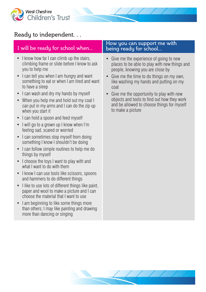

#### Ready to independent. . .

- I know how far I can climb up the stairs. climbing frame or slide before I know to ask you to help me
- I can tell you when I am hungry and want something to eat or when I am tired and want to have a sleep
- I can wash and dry my hands by myself
- When you help me and hold out my coat I can put in my arms and I can do the zip up when you start it
- I can hold a spoon and feed myself
- I will go to a grown up I know when I'm feeling sad, scared or worried
- I can sometimes stop myself from doing something I know I shouldn't be doing
- I can follow simple routines to help me do things by myself
- I choose the toys I want to play with and what I want to do with them
- I know I can use tools like scissors, spoons and hammers to do different things
- I like to use lots of different things like paint, paper and wool to make a picture and I can choose the material that I want to use
- I am beginning to like some things more than others; I may like painting and drawing more than dancing or singing

#### I will be ready for school when... How you can support me with I will be ready for school... being ready for school...

- Give me the experience of going to new places to be able to play with new things and people, knowing you are close by
- Give me the time to do things on my own, like washing my hands and putting on my coat
- Give me the opportunity to play with new objects and tools to find out how they work and be allowed to choose things for myself to make a picture

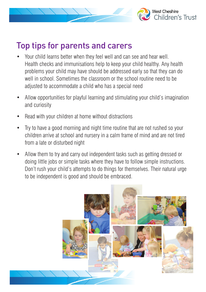

# Top tips for parents and carers

- Your child learns better when they feel well and can see and hear well. Health checks and immunisations help to keep your child healthy. Any health problems your child may have should be addressed early so that they can do well in school. Sometimes the classroom or the school routine need to be adjusted to accommodate a child who has a special need
- Allow opportunities for playful learning and stimulating your child's imagination and curiosity
- Read with your children at home without distractions
- Try to have a good morning and night time routine that are not rushed so your children arrive at school and nursery in a calm frame of mind and are not tired from a late or disturbed night
- Allow them to try and carry out independent tasks such as getting dressed or doing little jobs or simple tasks where they have to follow simple instructions. Don't rush your child's attempts to do things for themselves. Their natural urge to be independent is good and should be embraced.